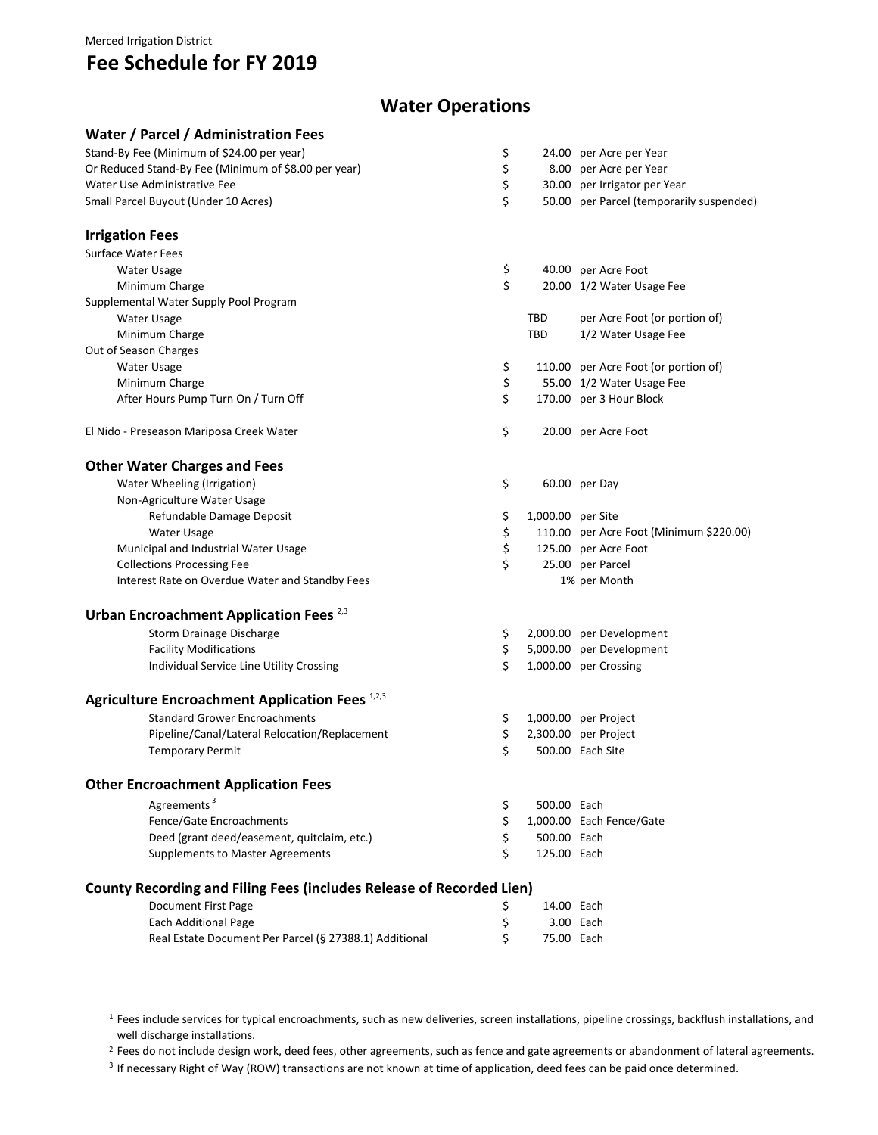#### Merced Irrigation District

# **Fee Schedule for FY 2019**

**Water / Parcel / Administration Fees**

# **Water Operations**

| water / Parcel / Administration Fees                                 |                         |                                          |
|----------------------------------------------------------------------|-------------------------|------------------------------------------|
| Stand-By Fee (Minimum of \$24.00 per year)                           | \$                      | 24.00 per Acre per Year                  |
| Or Reduced Stand-By Fee (Minimum of \$8.00 per year)                 | \$                      | 8.00 per Acre per Year                   |
| Water Use Administrative Fee                                         | \$                      | 30.00 per Irrigator per Year             |
| Small Parcel Buyout (Under 10 Acres)                                 | \$                      | 50.00 per Parcel (temporarily suspended) |
| <b>Irrigation Fees</b>                                               |                         |                                          |
| <b>Surface Water Fees</b>                                            |                         |                                          |
| <b>Water Usage</b>                                                   | \$                      | 40.00 per Acre Foot                      |
| Minimum Charge                                                       | \$                      | 20.00 1/2 Water Usage Fee                |
| Supplemental Water Supply Pool Program                               |                         |                                          |
| Water Usage                                                          | TBD                     | per Acre Foot (or portion of)            |
| Minimum Charge                                                       | <b>TBD</b>              | 1/2 Water Usage Fee                      |
| Out of Season Charges                                                |                         |                                          |
| <b>Water Usage</b>                                                   | \$                      | 110.00 per Acre Foot (or portion of)     |
| Minimum Charge                                                       | \$                      | 55.00 1/2 Water Usage Fee                |
| After Hours Pump Turn On / Turn Off                                  | \$                      | 170.00 per 3 Hour Block                  |
| El Nido - Preseason Mariposa Creek Water                             | \$                      | 20.00 per Acre Foot                      |
|                                                                      |                         |                                          |
| <b>Other Water Charges and Fees</b>                                  |                         |                                          |
| Water Wheeling (Irrigation)                                          | \$                      | 60.00 per Day                            |
| Non-Agriculture Water Usage                                          |                         |                                          |
| Refundable Damage Deposit                                            | \$<br>1,000.00 per Site |                                          |
| Water Usage                                                          | \$                      | 110.00 per Acre Foot (Minimum \$220.00)  |
| Municipal and Industrial Water Usage                                 | \$                      | 125.00 per Acre Foot                     |
| <b>Collections Processing Fee</b>                                    | \$                      | 25.00 per Parcel                         |
| Interest Rate on Overdue Water and Standby Fees                      |                         | 1% per Month                             |
| Urban Encroachment Application Fees <sup>2,3</sup>                   |                         |                                          |
| Storm Drainage Discharge                                             | \$                      | 2,000.00 per Development                 |
| <b>Facility Modifications</b>                                        | \$                      | 5,000.00 per Development                 |
| Individual Service Line Utility Crossing                             | \$                      | 1,000.00 per Crossing                    |
| Agriculture Encroachment Application Fees 1,2,3                      |                         |                                          |
| <b>Standard Grower Encroachments</b>                                 | \$                      | 1,000.00 per Project                     |
| Pipeline/Canal/Lateral Relocation/Replacement                        | \$                      | 2,300.00 per Project                     |
| <b>Temporary Permit</b>                                              | \$                      | 500.00 Each Site                         |
|                                                                      |                         |                                          |
| <b>Other Encroachment Application Fees</b>                           |                         |                                          |
| Agreements <sup>3</sup>                                              | \$<br>500.00 Each       |                                          |
| Fence/Gate Encroachments                                             | \$                      | 1,000.00 Each Fence/Gate                 |
| Deed (grant deed/easement, quitclaim, etc.)                          | \$<br>500.00 Each       |                                          |
| <b>Supplements to Master Agreements</b>                              | \$<br>125.00 Each       |                                          |
| County Recording and Filing Fees (includes Release of Recorded Lien) |                         |                                          |
| <b>Document First Page</b>                                           | \$<br>14.00 Each        |                                          |
| Each Additional Page                                                 | \$                      | 3.00 Each                                |
| Real Estate Document Per Parcel (§ 27388.1) Additional               | \$<br>75.00 Each        |                                          |

<sup>1</sup> Fees include services for typical encroachments, such as new deliveries, screen installations, pipeline crossings, backflush installations, and well discharge installations.

<sup>2</sup> Fees do not include design work, deed fees, other agreements, such as fence and gate agreements or abandonment of lateral agreements.

<sup>3</sup> If necessary Right of Way (ROW) transactions are not known at time of application, deed fees can be paid once determined.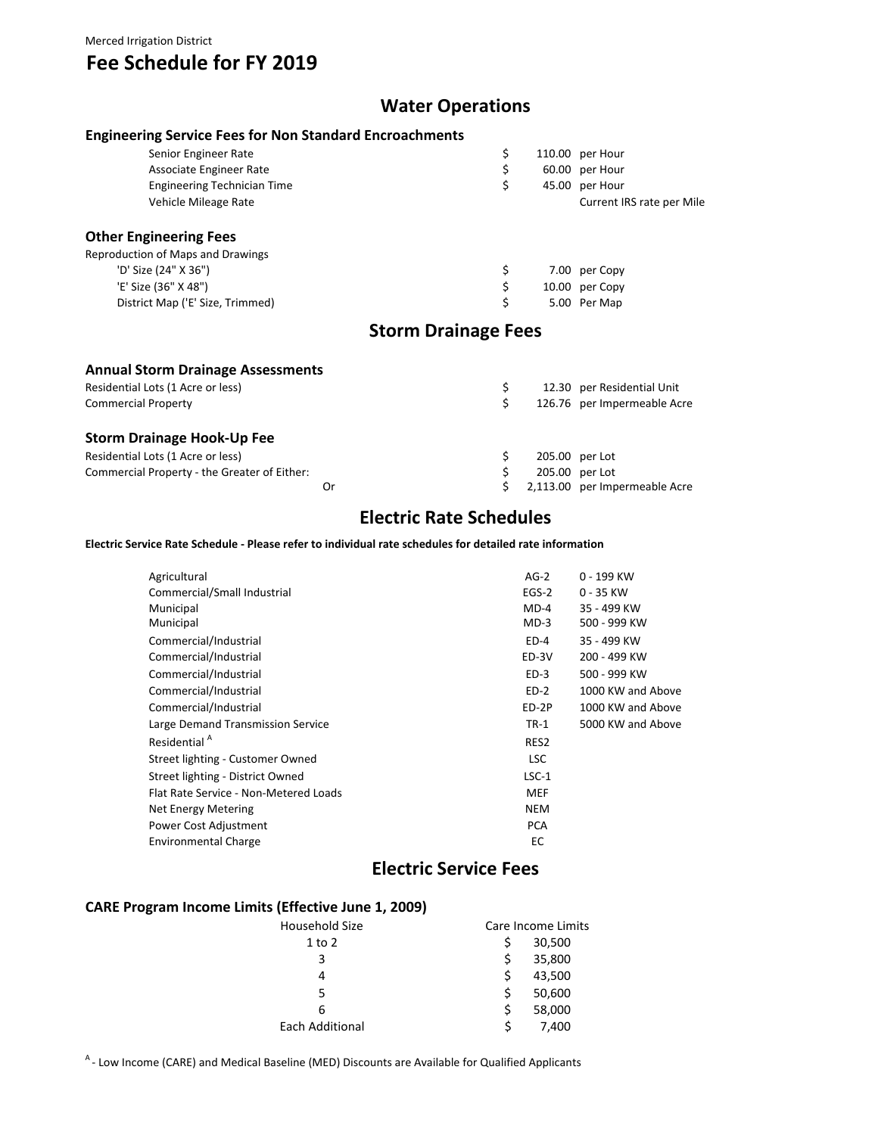#### Merced Irrigation District

# **Fee Schedule for FY 2019**

## **Water Operations**

| <b>Engineering Service Fees for Non Standard Encroachments</b> |                            |                           |
|----------------------------------------------------------------|----------------------------|---------------------------|
| Senior Engineer Rate                                           | \$                         | 110.00 per Hour           |
| Associate Engineer Rate                                        | \$                         | 60.00 per Hour            |
| Engineering Technician Time                                    | \$                         | 45.00 per Hour            |
| Vehicle Mileage Rate                                           |                            | Current IRS rate per Mile |
| <b>Other Engineering Fees</b>                                  |                            |                           |
| Reproduction of Maps and Drawings                              |                            |                           |
| 'D' Size (24" X 36")                                           | \$                         | 7.00 per Copy             |
| 'E' Size (36" X 48")                                           | \$                         | 10.00 per Copy            |
| District Map ('E' Size, Trimmed)                               | \$                         | 5.00 Per Map              |
|                                                                | <b>Storm Drainage Fees</b> |                           |
| <b>Annual Storm Drainage Assessments</b>                       |                            |                           |

| Residential Lots (1 Acre or less)            |    |                | 12.30 per Residential Unit    |
|----------------------------------------------|----|----------------|-------------------------------|
| <b>Commercial Property</b>                   |    |                | 126.76 per Impermeable Acre   |
| <b>Storm Drainage Hook-Up Fee</b>            |    |                |                               |
| Residential Lots (1 Acre or less)            |    | 205.00 per Lot |                               |
| Commercial Property - the Greater of Either: |    |                | 205.00 per Lot                |
|                                              | Or |                | 2,113.00 per Impermeable Acre |

# **Electric Rate Schedules**

**Electric Service Rate Schedule ‐ Please refer to individual rate schedules for detailed rate information**

| Agricultural                          | $AG-2$     | 0 - 199 KW        |
|---------------------------------------|------------|-------------------|
| Commercial/Small Industrial           | $EGS-2$    | $0 - 35$ KW       |
| Municipal                             | $MD-4$     | 35 - 499 KW       |
| Municipal                             | $MD-3$     | 500 - 999 KW      |
| Commercial/Industrial                 | $ED-4$     | 35 - 499 KW       |
| Commercial/Industrial                 | ED-3V      | 200 - 499 KW      |
| Commercial/Industrial                 | $ED-3$     | 500 - 999 KW      |
| Commercial/Industrial                 | $ED-2$     | 1000 KW and Above |
| Commercial/Industrial                 | ED-2P      | 1000 KW and Above |
| Large Demand Transmission Service     | $TR-1$     | 5000 KW and Above |
| Residential <sup>A</sup>              | RES2       |                   |
| Street lighting - Customer Owned      | <b>LSC</b> |                   |
| Street lighting - District Owned      | $LSC-1$    |                   |
| Flat Rate Service - Non-Metered Loads | <b>MEF</b> |                   |
| Net Energy Metering                   | <b>NEM</b> |                   |
| Power Cost Adjustment                 | <b>PCA</b> |                   |
| Environmental Charge                  | EC         |                   |
|                                       |            |                   |

### **Electric Service Fees**

### **CARE Program Income Limits (Effective June 1, 2009)**

| Household Size         |    | Care Income Limits |
|------------------------|----|--------------------|
| $1$ to $2$             |    | 30,500             |
| 3                      | Ś  | 35,800             |
|                        | Ś  | 43,500             |
| 5                      | \$ | 50,600             |
| 6                      | Ś. | 58,000             |
| <b>Each Additional</b> |    | 7,400              |

A - Low Income (CARE) and Medical Baseline (MED) Discounts are Available for Qualified Applicants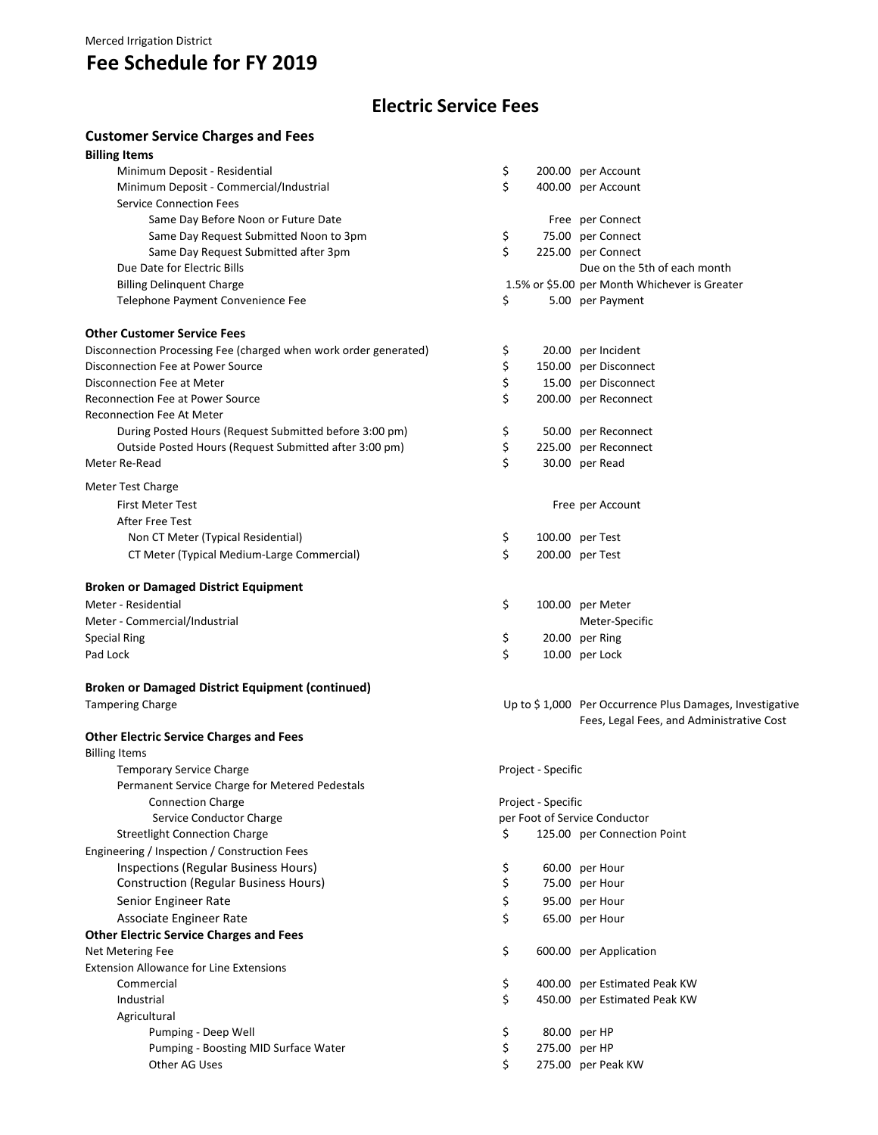# **Fee Schedule for FY 2019**

## **Electric Service Fees**

### **Customer Service Charges and Fees**

| <b>Billing Items</b>                                             |                    |                                                          |
|------------------------------------------------------------------|--------------------|----------------------------------------------------------|
| Minimum Deposit - Residential                                    | \$                 | 200.00 per Account                                       |
| Minimum Deposit - Commercial/Industrial                          | \$                 | 400.00 per Account                                       |
| <b>Service Connection Fees</b>                                   |                    |                                                          |
| Same Day Before Noon or Future Date                              |                    | Free per Connect                                         |
| Same Day Request Submitted Noon to 3pm                           | \$                 | 75.00 per Connect                                        |
| Same Day Request Submitted after 3pm                             | \$                 | 225.00 per Connect                                       |
| Due Date for Electric Bills                                      |                    | Due on the 5th of each month                             |
| <b>Billing Delinquent Charge</b>                                 |                    | 1.5% or \$5.00 per Month Whichever is Greater            |
| Telephone Payment Convenience Fee                                | \$                 | 5.00 per Payment                                         |
| <b>Other Customer Service Fees</b>                               |                    |                                                          |
| Disconnection Processing Fee (charged when work order generated) | \$                 | 20.00 per Incident                                       |
| Disconnection Fee at Power Source                                | \$                 | 150.00 per Disconnect                                    |
| Disconnection Fee at Meter                                       | \$                 | 15.00 per Disconnect                                     |
| <b>Reconnection Fee at Power Source</b>                          | \$                 | 200.00 per Reconnect                                     |
| <b>Reconnection Fee At Meter</b>                                 |                    |                                                          |
| During Posted Hours (Request Submitted before 3:00 pm)           | \$                 | 50.00 per Reconnect                                      |
| Outside Posted Hours (Request Submitted after 3:00 pm)           | \$                 | 225.00 per Reconnect                                     |
| Meter Re-Read                                                    | \$                 | 30.00 per Read                                           |
|                                                                  |                    |                                                          |
| Meter Test Charge                                                |                    |                                                          |
| <b>First Meter Test</b>                                          |                    | Free per Account                                         |
| After Free Test                                                  |                    |                                                          |
| Non CT Meter (Typical Residential)                               | \$                 | 100.00 per Test                                          |
| CT Meter (Typical Medium-Large Commercial)                       | \$                 | 200.00 per Test                                          |
| <b>Broken or Damaged District Equipment</b>                      |                    |                                                          |
| Meter - Residential                                              | \$                 | 100.00 per Meter                                         |
| Meter - Commercial/Industrial                                    |                    | Meter-Specific                                           |
| <b>Special Ring</b>                                              | \$                 | 20.00 per Ring                                           |
| Pad Lock                                                         | \$                 | 10.00 per Lock                                           |
| <b>Broken or Damaged District Equipment (continued)</b>          |                    |                                                          |
| <b>Tampering Charge</b>                                          |                    | Up to \$1,000 Per Occurrence Plus Damages, Investigative |
|                                                                  |                    | Fees, Legal Fees, and Administrative Cost                |
| <b>Other Electric Service Charges and Fees</b>                   |                    |                                                          |
| <b>Billing Items</b>                                             |                    |                                                          |
| <b>Temporary Service Charge</b>                                  | Project - Specific |                                                          |
| Permanent Service Charge for Metered Pedestals                   |                    |                                                          |
| <b>Connection Charge</b>                                         |                    |                                                          |
|                                                                  | Project - Specific |                                                          |
| Service Conductor Charge                                         |                    | per Foot of Service Conductor                            |
| <b>Streetlight Connection Charge</b>                             | \$                 | 125.00 per Connection Point                              |
| Engineering / Inspection / Construction Fees                     |                    |                                                          |
| Inspections (Regular Business Hours)                             | \$                 | 60.00 per Hour                                           |
| <b>Construction (Regular Business Hours)</b>                     | \$                 | 75.00 per Hour                                           |
| Senior Engineer Rate                                             | \$                 | 95.00 per Hour                                           |
| Associate Engineer Rate                                          | \$                 | 65.00 per Hour                                           |
| <b>Other Electric Service Charges and Fees</b>                   |                    |                                                          |
| Net Metering Fee                                                 | \$                 | 600.00 per Application                                   |
| <b>Extension Allowance for Line Extensions</b>                   |                    |                                                          |
| Commercial                                                       | \$                 | 400.00 per Estimated Peak KW                             |
| Industrial                                                       | \$                 | 450.00 per Estimated Peak KW                             |
| Agricultural                                                     |                    |                                                          |
| Pumping - Deep Well                                              | \$                 | 80.00 per HP                                             |
| Pumping - Boosting MID Surface Water                             | \$                 | 275.00 per HP                                            |
| Other AG Uses                                                    | \$                 | 275.00 per Peak KW                                       |
|                                                                  |                    |                                                          |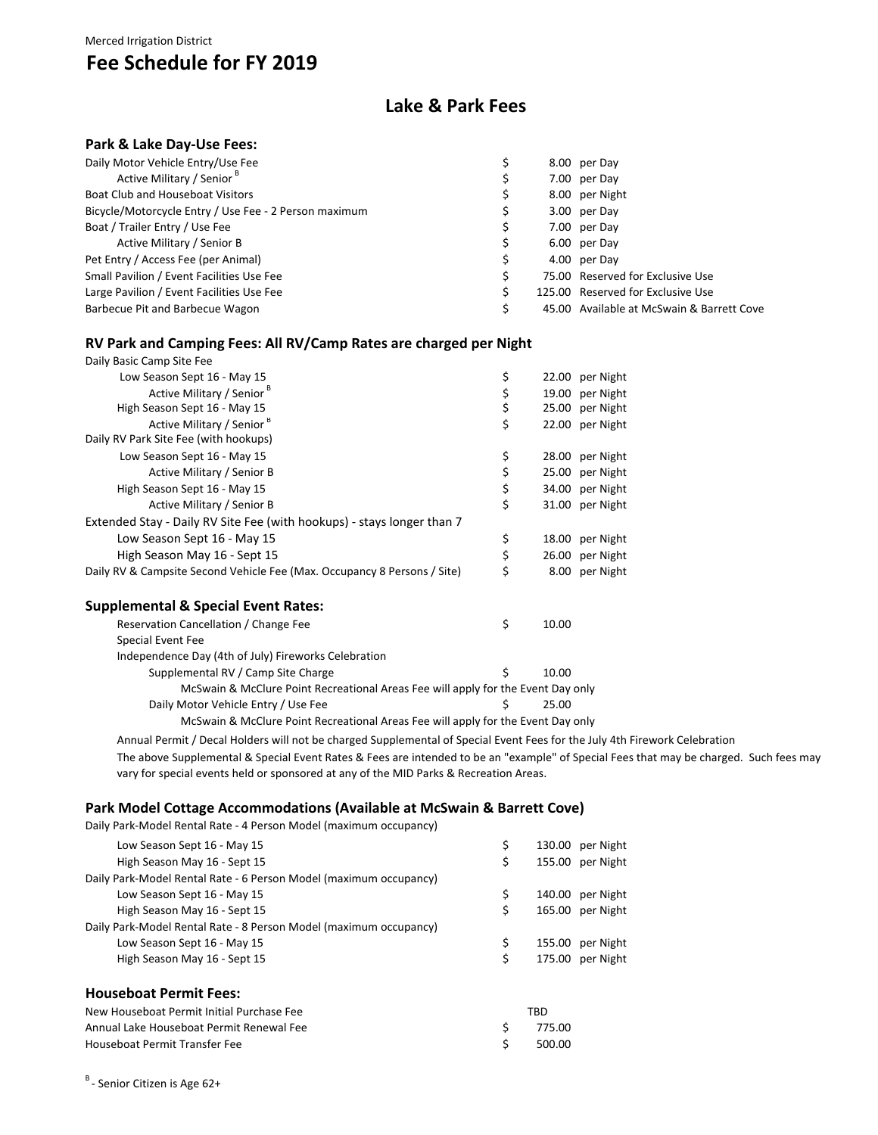#### Merced Irrigation District

# **Fee Schedule for FY 2019**

### **Lake & Park Fees**

#### **Park & Lake Day‐Use Fees:**

| Daily Motor Vehicle Entry/Use Fee                     |  | 8.00 per Day                              |
|-------------------------------------------------------|--|-------------------------------------------|
| Active Military / Senior B                            |  | 7.00 per Day                              |
| Boat Club and Houseboat Visitors                      |  | 8.00 per Night                            |
| Bicycle/Motorcycle Entry / Use Fee - 2 Person maximum |  | 3.00 per Day                              |
| Boat / Trailer Entry / Use Fee                        |  | 7.00 per Day                              |
| Active Military / Senior B                            |  | 6.00 per Day                              |
| Pet Entry / Access Fee (per Animal)                   |  | 4.00 per Day                              |
| Small Pavilion / Event Facilities Use Fee             |  | 75.00 Reserved for Exclusive Use          |
| Large Pavilion / Event Facilities Use Fee             |  | 125.00 Reserved for Exclusive Use         |
| Barbecue Pit and Barbecue Wagon                       |  | 45.00 Available at McSwain & Barrett Cove |

### **RV Park and Camping Fees: All RV/Camp Rates are charged per Night**

| Daily Basic Camp Site Fee                                                        |          |       |                 |
|----------------------------------------------------------------------------------|----------|-------|-----------------|
| Low Season Sept 16 - May 15                                                      | \$       |       | 22.00 per Night |
| Active Military / Senior B                                                       |          |       | 19.00 per Night |
| High Season Sept 16 - May 15                                                     | \$<br>\$ |       | 25.00 per Night |
| Active Military / Senior <sup>B</sup>                                            | \$       |       | 22.00 per Night |
| Daily RV Park Site Fee (with hookups)                                            |          |       |                 |
| Low Season Sept 16 - May 15                                                      | \$       |       | 28.00 per Night |
| Active Military / Senior B                                                       | \$       |       | 25.00 per Night |
| High Season Sept 16 - May 15                                                     | \$       |       | 34.00 per Night |
| Active Military / Senior B                                                       | \$       |       | 31.00 per Night |
| Extended Stay - Daily RV Site Fee (with hookups) - stays longer than 7           |          |       |                 |
| Low Season Sept 16 - May 15                                                      | \$       |       | 18.00 per Night |
| High Season May 16 - Sept 15                                                     | \$       |       | 26.00 per Night |
| Daily RV & Campsite Second Vehicle Fee (Max. Occupancy 8 Persons / Site)         | \$       |       | 8.00 per Night  |
| <b>Supplemental &amp; Special Event Rates:</b>                                   |          |       |                 |
| Reservation Cancellation / Change Fee                                            | \$       | 10.00 |                 |
| Special Event Fee                                                                |          |       |                 |
| Independence Day (4th of July) Fireworks Celebration                             |          |       |                 |
| Supplemental RV / Camp Site Charge                                               | Ś        | 10.00 |                 |
| McSwain & McClure Point Recreational Areas Fee will apply for the Event Day only |          |       |                 |
| Daily Motor Vehicle Entry / Use Fee                                              | \$       | 25.00 |                 |

McSwain & McClure Point Recreational Areas Fee will apply for the Event Day only

Annual Permit / Decal Holders will not be charged Supplemental of Special Event Fees for the July 4th Firework Celebration

The above Supplemental & Special Event Rates & Fees are intended to be an "example" of Special Fees that may be charged. Such fees may vary for special events held or sponsored at any of the MID Parks & Recreation Areas.

#### **Park Model Cottage Accommodations (Available at McSwain & Barrett Cove)**

| Daily Park-Model Rental Rate - 4 Person Model (maximum occupancy) |              |                  |
|-------------------------------------------------------------------|--------------|------------------|
| Low Season Sept 16 - May 15                                       | \$           | 130.00 per Night |
| High Season May 16 - Sept 15                                      | \$           | 155.00 per Night |
| Daily Park-Model Rental Rate - 6 Person Model (maximum occupancy) |              |                  |
| Low Season Sept 16 - May 15                                       | \$           | 140.00 per Night |
| High Season May 16 - Sept 15                                      | \$           | 165.00 per Night |
| Daily Park-Model Rental Rate - 8 Person Model (maximum occupancy) |              |                  |
| Low Season Sept 16 - May 15                                       | \$           | 155.00 per Night |
| High Season May 16 - Sept 15                                      | \$           | 175.00 per Night |
| <b>Houseboat Permit Fees:</b>                                     |              |                  |
| New Houseboat Permit Initial Purchase Fee                         | TBD          |                  |
| Annual Lake Houseboat Permit Renewal Fee                          | \$<br>775.00 |                  |
| Houseboat Permit Transfer Fee                                     | 500.00       |                  |

B - Senior Citizen is Age 62+